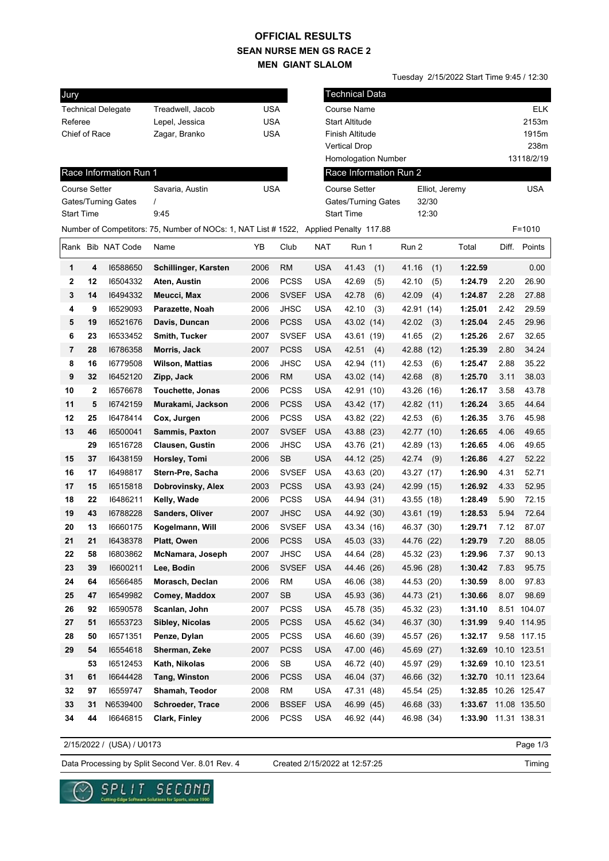## **SEAN NURSE MEN GS RACE 2 MEN GIANT SLALOM OFFICIAL RESULTS**

Tuesday 2/15/2022 Start Time 9:45 / 12:30

| Jury                      |    |                        |                                                                                       |                               |              |                       | <b>Technical Data</b>      |            |                |                      |            |              |  |
|---------------------------|----|------------------------|---------------------------------------------------------------------------------------|-------------------------------|--------------|-----------------------|----------------------------|------------|----------------|----------------------|------------|--------------|--|
| <b>Technical Delegate</b> |    |                        | Treadwell, Jacob                                                                      | <b>USA</b>                    |              | Course Name           |                            |            |                |                      | <b>ELK</b> |              |  |
| Referee                   |    |                        | Lepel, Jessica                                                                        | <b>USA</b>                    |              | <b>Start Altitude</b> |                            |            |                |                      | 2153m      |              |  |
| Chief of Race             |    |                        | Zagar, Branko                                                                         | <b>USA</b><br>Finish Altitude |              |                       |                            | 1915m      |                |                      |            |              |  |
|                           |    |                        |                                                                                       |                               |              | <b>Vertical Drop</b>  |                            |            |                |                      | 238m       |              |  |
|                           |    |                        |                                                                                       |                               |              |                       | <b>Homologation Number</b> |            |                |                      |            | 13118/2/19   |  |
|                           |    | Race Information Run 1 |                                                                                       |                               |              |                       | Race Information Run 2     |            |                |                      |            |              |  |
| <b>Course Setter</b>      |    |                        | Savaria, Austin                                                                       | <b>USA</b>                    |              | <b>Course Setter</b>  |                            |            | Elliot, Jeremy |                      |            | USA          |  |
| Gates/Turning Gates       |    |                        |                                                                                       |                               |              | Gates/Turning Gates   |                            |            | 32/30          |                      |            |              |  |
| <b>Start Time</b>         |    |                        | 9:45                                                                                  |                               |              |                       | <b>Start Time</b>          |            | 12:30          |                      |            |              |  |
|                           |    |                        | Number of Competitors: 75, Number of NOCs: 1, NAT List # 1522, Applied Penalty 117.88 |                               |              |                       |                            |            |                |                      |            | $F = 1010$   |  |
|                           |    | Rank Bib NAT Code      | Name                                                                                  | ΥB                            | Club         | <b>NAT</b>            | Run 1                      | Run 2      |                | Total                | Diff.      | Points       |  |
| 1                         | 4  | 16588650               | Schillinger, Karsten                                                                  | 2006                          | <b>RM</b>    | <b>USA</b>            | 41.43<br>(1)               | 41.16      | (1)            | 1:22.59              |            | 0.00         |  |
| 2                         | 12 | 16504332               | Aten, Austin                                                                          | 2006                          | <b>PCSS</b>  | USA                   | 42.69<br>(5)               | 42.10      | (5)            | 1:24.79              | 2.20       | 26.90        |  |
| 3                         | 14 | 16494332               | Meucci, Max                                                                           | 2006                          | <b>SVSEF</b> | <b>USA</b>            | 42.78<br>(6)               | 42.09      | (4)            | 1:24.87              | 2.28       | 27.88        |  |
| 4                         | 9  | 16529093               | Parazette, Noah                                                                       | 2006                          | <b>JHSC</b>  | USA                   | 42.10<br>(3)               | 42.91      | (14)           | 1:25.01              | 2.42       | 29.59        |  |
| 5                         | 19 | 16521676               | Davis, Duncan                                                                         | 2006                          | <b>PCSS</b>  | <b>USA</b>            | 43.02 (14)                 | 42.02      | (3)            | 1:25.04              | 2.45       | 29.96        |  |
| 6                         | 23 | 16533452               | Smith, Tucker                                                                         | 2007                          | <b>SVSEF</b> | <b>USA</b>            | 43.61 (19)                 | 41.65      | (2)            | 1:25.26              | 2.67       | 32.65        |  |
| 7                         | 28 | 16786358               | Morris, Jack                                                                          | 2007                          | <b>PCSS</b>  | <b>USA</b>            | 42.51<br>(4)               | 42.88      | (12)           | 1:25.39              | 2.80       | 34.24        |  |
| 8                         | 16 | 16779508               | <b>Wilson, Mattias</b>                                                                | 2006                          | <b>JHSC</b>  | <b>USA</b>            | 42.94 (11)                 | 42.53      | (6)            | 1:25.47              | 2.88       | 35.22        |  |
| 9                         | 32 | 16452120               | Zipp, Jack                                                                            | 2006                          | <b>RM</b>    | <b>USA</b>            | 43.02 (14)                 | 42.68      | (8)            | 1:25.70              | 3.11       | 38.03        |  |
| 10                        | 2  | 16576678               | Touchette, Jonas                                                                      | 2006                          | <b>PCSS</b>  | <b>USA</b>            | 42.91 (10)                 | 43.26 (16) |                | 1:26.17              | 3.58       | 43.78        |  |
| 11                        | 5  | 16742159               | Murakami, Jackson                                                                     | 2006                          | <b>PCSS</b>  | <b>USA</b>            | 43.42 (17)                 | 42.82 (11) |                | 1:26.24              | 3.65       | 44.64        |  |
| 12                        | 25 | 16478414               | Cox, Jurgen                                                                           | 2006                          | <b>PCSS</b>  | <b>USA</b>            | 43.82 (22)                 | 42.53      | (6)            | 1:26.35              | 3.76       | 45.98        |  |
| 13                        | 46 | 16500041               | Sammis, Paxton                                                                        | 2007                          | <b>SVSEF</b> | <b>USA</b>            | 43.88 (23)                 | 42.77 (10) |                | 1:26.65              | 4.06       | 49.65        |  |
|                           | 29 | 16516728               | <b>Clausen, Gustin</b>                                                                | 2006                          | JHSC         | USA                   | 43.76 (21)                 | 42.89 (13) |                | 1:26.65              | 4.06       | 49.65        |  |
| 15                        | 37 | 16438159               | Horsley, Tomi                                                                         | 2006                          | SB           | <b>USA</b>            | 44.12 (25)                 | 42.74      | (9)            | 1:26.86              | 4.27       | 52.22        |  |
| 16                        | 17 | 16498817               | Stern-Pre, Sacha                                                                      | 2006                          | <b>SVSEF</b> | <b>USA</b>            | 43.63 (20)                 | 43.27 (17) |                | 1:26.90              | 4.31       | 52.71        |  |
| 17                        | 15 | 16515818               | Dobrovinsky, Alex                                                                     | 2003                          | <b>PCSS</b>  | <b>USA</b>            | 43.93 (24)                 | 42.99 (15) |                | 1:26.92              | 4.33       | 52.95        |  |
| 18                        | 22 | 16486211               | Kelly, Wade                                                                           | 2006                          | <b>PCSS</b>  | <b>USA</b>            | 44.94 (31)                 | 43.55 (18) |                | 1:28.49              | 5.90       | 72.15        |  |
| 19                        | 43 | 16788228               | Sanders, Oliver                                                                       | 2007                          | <b>JHSC</b>  | <b>USA</b>            | 44.92 (30)                 | 43.61 (19) |                | 1:28.53              | 5.94       | 72.64        |  |
| 20                        | 13 | 16660175               | Kogelmann, Will                                                                       | 2006                          | <b>SVSEF</b> | <b>USA</b>            | 43.34 (16)                 | 46.37 (30) |                | 1:29.71              | 7.12       | 87.07        |  |
| 21                        | 21 | 16438378               | Platt, Owen                                                                           | 2006                          | <b>PCSS</b>  | <b>USA</b>            | 45.03 (33)                 | 44.76 (22) |                | 1:29.79              | 7.20       | 88.05        |  |
| 22                        | 58 | 16803862               | McNamara, Joseph                                                                      | 2007                          | <b>JHSC</b>  | <b>USA</b>            | 44.64 (28)                 | 45.32 (23) |                | 1:29.96              | 7.37       | 90.13        |  |
| 23                        | 39 | 16600211               | Lee, Bodin                                                                            | 2006                          | <b>SVSEF</b> | <b>USA</b>            | 44.46 (26)                 | 45.96 (28) |                | 1:30.42              | 7.83       | 95.75        |  |
| 24                        | 64 | 16566485               | Morasch, Declan                                                                       | 2006                          | <b>RM</b>    | <b>USA</b>            | 46.06 (38)                 | 44.53 (20) |                | 1:30.59              | 8.00       | 97.83        |  |
| 25                        | 47 | 16549982               | Comey, Maddox                                                                         | 2007                          | SB           | <b>USA</b>            | 45.93 (36)                 | 44.73 (21) |                | 1:30.66              | 8.07       | 98.69        |  |
| 26                        | 92 | 16590578               | Scanlan, John                                                                         | 2007                          | PCSS         | <b>USA</b>            | 45.78 (35)                 | 45.32 (23) |                | 1:31.10              |            | 8.51 104.07  |  |
| 27                        | 51 | 16553723               | Sibley, Nicolas                                                                       | 2005                          | <b>PCSS</b>  | <b>USA</b>            | 45.62 (34)                 | 46.37 (30) |                | 1:31.99              |            | 9.40 114.95  |  |
| 28                        | 50 | 16571351               | Penze, Dylan                                                                          | 2005                          | <b>PCSS</b>  | USA                   | 46.60 (39)                 | 45.57 (26) |                | 1:32.17              |            | 9.58 117.15  |  |
| 29                        | 54 | 16554618               | Sherman, Zeke                                                                         | 2007                          | <b>PCSS</b>  | <b>USA</b>            | 47.00 (46)                 | 45.69 (27) |                | 1:32.69              |            | 10.10 123.51 |  |
|                           | 53 | 16512453               | Kath, Nikolas                                                                         | 2006                          | SB           | <b>USA</b>            | 46.72 (40)                 | 45.97 (29) |                | 1:32.69 10.10 123.51 |            |              |  |
| 31                        | 61 | 16644428               | Tang, Winston                                                                         | 2006                          | <b>PCSS</b>  | <b>USA</b>            | 46.04 (37)                 | 46.66 (32) |                | 1:32.70              |            | 10.11 123.64 |  |
| 32                        | 97 | 16559747               | Shamah, Teodor                                                                        | 2008                          | <b>RM</b>    | <b>USA</b>            | 47.31 (48)                 | 45.54 (25) |                | 1:32.85 10.26 125.47 |            |              |  |
| 33                        | 31 | N6539400               | Schroeder, Trace                                                                      | 2006                          | <b>BSSEF</b> | <b>USA</b>            | 46.99 (45)                 | 46.68 (33) |                | 1:33.67 11.08 135.50 |            |              |  |
| 34                        | 44 | 16646815               | Clark, Finley                                                                         | 2006                          | <b>PCSS</b>  | USA                   | 46.92 (44)                 | 46.98 (34) |                | 1:33.90              |            | 11.31 138.31 |  |

2/15/2022 / (USA) / U0173

Page 1/3

Data Processing by Split Second Ver. 8.01 Rev. 4 Created 2/15/2022 at 12:57:25

Created 2/15/2022 at 12:57:25



 $SPLIT$ SECOND re Solutions for Sports, since 1990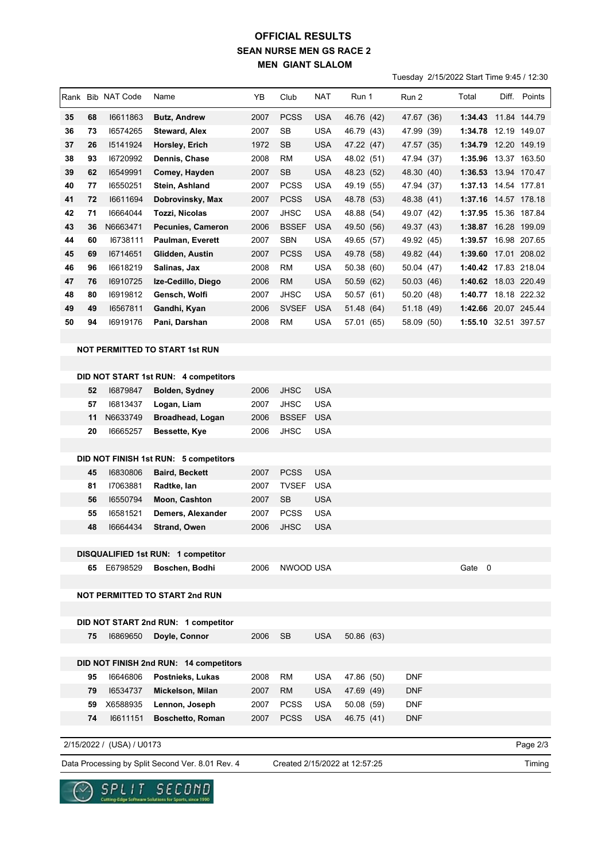## **SEAN NURSE MEN GS RACE 2 MEN GIANT SLALOM OFFICIAL RESULTS**

Tuesday 2/15/2022 Start Time 9:45 / 12:30

|    |    |                   |                                        |      |              |            |            |            | Tuesuay 2/19/2022 Start Time 9.49 / TZ.30 |                      |              |
|----|----|-------------------|----------------------------------------|------|--------------|------------|------------|------------|-------------------------------------------|----------------------|--------------|
|    |    | Rank Bib NAT Code | Name                                   | YB   | Club         | <b>NAT</b> | Run 1      | Run 2      | Total                                     |                      | Diff. Points |
| 35 | 68 | 16611863          | Butz, Andrew                           | 2007 | <b>PCSS</b>  | USA        | 46.76 (42) | 47.67 (36) |                                           | 1:34.43 11.84 144.79 |              |
| 36 | 73 | 16574265          | Steward, Alex                          | 2007 | SB           | USA        | 46.79 (43) | 47.99 (39) |                                           | 1:34.78 12.19 149.07 |              |
| 37 | 26 | 15141924          | Horsley, Erich                         | 1972 | <b>SB</b>    | <b>USA</b> | 47.22 (47) | 47.57 (35) |                                           | 1:34.79 12.20 149.19 |              |
| 38 | 93 | 16720992          | Dennis, Chase                          | 2008 | <b>RM</b>    | <b>USA</b> | 48.02 (51) | 47.94 (37) |                                           | 1:35.96 13.37 163.50 |              |
| 39 | 62 | 16549991          | Comey, Hayden                          | 2007 | <b>SB</b>    | <b>USA</b> | 48.23 (52) | 48.30 (40) |                                           | 1:36.53 13.94 170.47 |              |
| 40 | 77 | 16550251          | Stein, Ashland                         | 2007 | <b>PCSS</b>  | <b>USA</b> | 49.19 (55) | 47.94 (37) |                                           | 1:37.13 14.54 177.81 |              |
| 41 | 72 | 16611694          | Dobrovinsky, Max                       | 2007 | <b>PCSS</b>  | <b>USA</b> | 48.78 (53) | 48.38 (41) |                                           | 1:37.16 14.57 178.18 |              |
| 42 | 71 | 16664044          | Tozzi, Nicolas                         | 2007 | <b>JHSC</b>  | USA        | 48.88 (54) | 49.07 (42) |                                           | 1:37.95 15.36 187.84 |              |
| 43 | 36 | N6663471          | <b>Pecunies, Cameron</b>               | 2006 | <b>BSSEF</b> | <b>USA</b> | 49.50 (56) | 49.37 (43) |                                           | 1:38.87 16.28 199.09 |              |
| 44 | 60 | 16738111          | Paulman, Everett                       | 2007 | <b>SBN</b>   | <b>USA</b> | 49.65 (57) | 49.92 (45) | 1:39.57                                   |                      | 16.98 207.65 |
| 45 | 69 | 16714651          | Glidden, Austin                        | 2007 | <b>PCSS</b>  | <b>USA</b> | 49.78 (58) | 49.82 (44) | 1:39.60                                   |                      | 17.01 208.02 |
| 46 | 96 | 16618219          | Salinas, Jax                           | 2008 | RM           | USA        | 50.38 (60) | 50.04 (47) |                                           | 1:40.42 17.83 218.04 |              |
| 47 | 76 | 16910725          | Ize-Cedillo, Diego                     | 2006 | RM           | <b>USA</b> | 50.59 (62) | 50.03 (46) |                                           | 1:40.62 18.03 220.49 |              |
| 48 | 80 | 16919812          | Gensch, Wolfi                          | 2007 | JHSC         | USA        | 50.57 (61) | 50.20 (48) |                                           | 1:40.77 18.18 222.32 |              |
| 49 | 49 | 16567811          | Gandhi, Kyan                           | 2006 | <b>SVSEF</b> | USA        | 51.48 (64) | 51.18 (49) |                                           | 1:42.66 20.07 245.44 |              |
| 50 | 94 | 16919176          | Pani, Darshan                          | 2008 | <b>RM</b>    | <b>USA</b> | 57.01 (65) | 58.09 (50) |                                           | 1:55.10 32.51 397.57 |              |
|    |    |                   |                                        |      |              |            |            |            |                                           |                      |              |
|    |    |                   | <b>NOT PERMITTED TO START 1st RUN</b>  |      |              |            |            |            |                                           |                      |              |
|    |    |                   |                                        |      |              |            |            |            |                                           |                      |              |
|    |    |                   | DID NOT START 1st RUN: 4 competitors   |      |              |            |            |            |                                           |                      |              |
|    | 52 | 16879847          | Bolden, Sydney                         | 2006 | <b>JHSC</b>  | <b>USA</b> |            |            |                                           |                      |              |
|    | 57 | 16813437          | Logan, Liam                            | 2007 | <b>JHSC</b>  | USA        |            |            |                                           |                      |              |
|    | 11 | N6633749          | Broadhead, Logan                       | 2006 | <b>BSSEF</b> | <b>USA</b> |            |            |                                           |                      |              |
|    | 20 | 16665257          | Bessette, Kye                          | 2006 | <b>JHSC</b>  | <b>USA</b> |            |            |                                           |                      |              |
|    |    |                   | DID NOT FINISH 1st RUN: 5 competitors  |      |              |            |            |            |                                           |                      |              |
|    | 45 | 16830806          | <b>Baird, Beckett</b>                  | 2007 | <b>PCSS</b>  | <b>USA</b> |            |            |                                           |                      |              |
|    | 81 | 17063881          | Radtke, Ian                            | 2007 | <b>TVSEF</b> | USA        |            |            |                                           |                      |              |
|    | 56 | 16550794          | Moon, Cashton                          | 2007 | <b>SB</b>    | <b>USA</b> |            |            |                                           |                      |              |
|    | 55 | 16581521          | Demers, Alexander                      | 2007 | <b>PCSS</b>  | <b>USA</b> |            |            |                                           |                      |              |
|    | 48 | 16664434          | Strand, Owen                           | 2006 | JHSC         | USA        |            |            |                                           |                      |              |
|    |    |                   |                                        |      |              |            |            |            |                                           |                      |              |
|    |    |                   | DISQUALIFIED 1st RUN: 1 competitor     |      |              |            |            |            |                                           |                      |              |
|    |    | 65 E6798529       | Boschen, Bodhi                         | 2006 | NWOOD USA    |            |            |            | Gate 0                                    |                      |              |
|    |    |                   | <b>NOT PERMITTED TO START 2nd RUN</b>  |      |              |            |            |            |                                           |                      |              |
|    |    |                   |                                        |      |              |            |            |            |                                           |                      |              |
|    |    |                   | DID NOT START 2nd RUN: 1 competitor    |      |              |            |            |            |                                           |                      |              |
|    | 75 | 16869650          | Doyle, Connor                          | 2006 | <b>SB</b>    | <b>USA</b> | 50.86 (63) |            |                                           |                      |              |
|    |    |                   |                                        |      |              |            |            |            |                                           |                      |              |
|    |    |                   | DID NOT FINISH 2nd RUN: 14 competitors |      |              |            |            |            |                                           |                      |              |
|    | 95 | 16646806          | Postnieks, Lukas                       | 2008 | <b>RM</b>    | <b>USA</b> | 47.86 (50) | <b>DNF</b> |                                           |                      |              |
|    | 79 | 16534737          | Mickelson, Milan                       | 2007 | <b>RM</b>    | <b>USA</b> | 47.69 (49) | <b>DNF</b> |                                           |                      |              |
|    | 59 | X6588935          | Lennon, Joseph                         | 2007 | <b>PCSS</b>  | <b>USA</b> | 50.08 (59) | <b>DNF</b> |                                           |                      |              |
|    | 74 | 16611151          | <b>Boschetto, Roman</b>                | 2007 | <b>PCSS</b>  | <b>USA</b> | 46.75 (41) | <b>DNF</b> |                                           |                      |              |
|    |    |                   |                                        |      |              |            |            |            |                                           |                      |              |

Data Processing by Split Second Ver. 8.01 Rev. 4 Created 2/15/2022 at 12:57:25 2/15/2022 / (USA) / U0173 Created 2/15/2022 at 12:57:25

Page 2/3

 $\underset{\text{Cuting-Edges for the same Schmitian for 5p} \text{ of } C \text{ of } M \text{ of } C \text{ of } C \text{ of } C \text{ of } C \text{ of } C \text{ of } C \text{ of } C \text{ of } C \text{ of } C \text{ of } C \text{ of } C \text{ of } C \text{ of } C \text{ of } C \text{ of } C \text{ of } C \text{ of } C \text{ of } C \text{ of } C \text{ of } C \text{ of } C \text{ of } C \text{ of } C \text{ of } C \text{ of } C \text{ of } C \text{ of } C \text{ of } C \text{ of } C \text{ of } C \text{ of }$  $\sim$